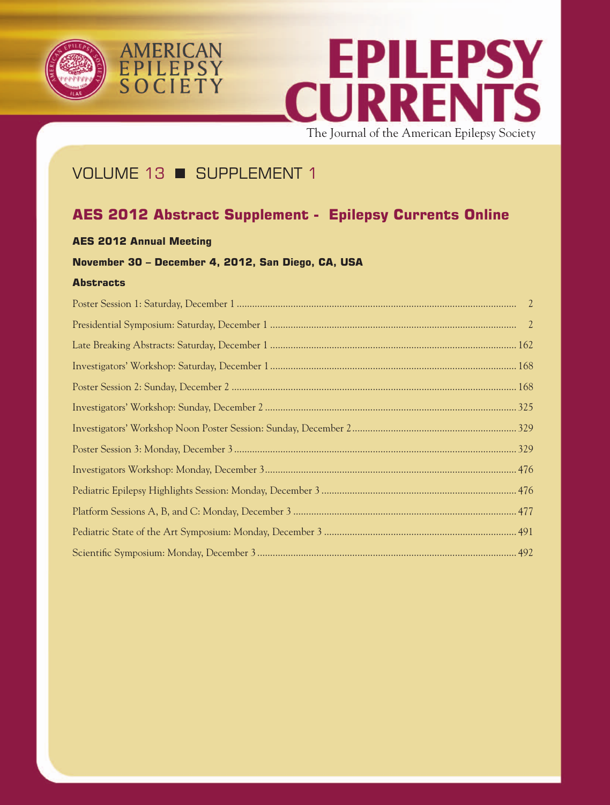





The Journal of the American Epilepsy Society

# VOLUME 13 SUPPLEMENT 1

# **AES 2012 Abstract Supplement - Epilepsy Currents Online**

# **AES 2012 Annual Meeting**

# **November 30 – December 4, 2012, San Diego, CA, USA**

# **Abstracts**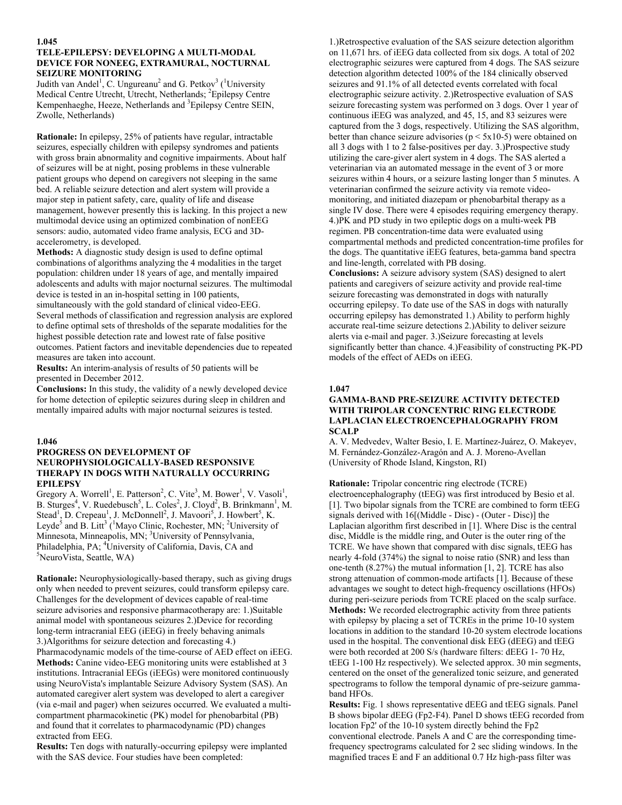## **1.045**

# **TELE-EPILEPSY: DEVELOPING A MULTI-MODAL DEVICE FOR NONEEG, EXTRAMURAL, NOCTURNAL SEIZURE MONITORING**

Judith van Andel<sup>1</sup>, C. Ungureanu<sup>2</sup> and G. Petkov<sup>3</sup> (<sup>1</sup>University Medical Centre Utrecht, Utrecht, Netherlands; <sup>2</sup>Epilepsy Centre Kempenhaeghe, Heeze, Netherlands and <sup>3</sup>Epilepsy Centre SEIN, Zwolle, Netherlands)

**Rationale:** In epilepsy, 25% of patients have regular, intractable seizures, especially children with epilepsy syndromes and patients with gross brain abnormality and cognitive impairments. About half of seizures will be at night, posing problems in these vulnerable patient groups who depend on caregivers not sleeping in the same bed. A reliable seizure detection and alert system will provide a major step in patient safety, care, quality of life and disease management, however presently this is lacking. In this project a new multimodal device using an optimized combination of nonEEG sensors: audio, automated video frame analysis, ECG and 3Daccelerometry, is developed.

**Methods:** A diagnostic study design is used to define optimal combinations of algorithms analyzing the 4 modalities in the target population: children under 18 years of age, and mentally impaired adolescents and adults with major nocturnal seizures. The multimodal device is tested in an in-hospital setting in 100 patients, simultaneously with the gold standard of clinical video-EEG. Several methods of classification and regression analysis are explored to define optimal sets of thresholds of the separate modalities for the highest possible detection rate and lowest rate of false positive outcomes. Patient factors and inevitable dependencies due to repeated measures are taken into account.

**Results:** An interim-analysis of results of 50 patients will be presented in December 2012.

**Conclusions:** In this study, the validity of a newly developed device for home detection of epileptic seizures during sleep in children and mentally impaired adults with major nocturnal seizures is tested.

## **1.046**

# **PROGRESS ON DEVELOPMENT OF NEUROPHYSIOLOGICALLY-BASED RESPONSIVE THERAPY IN DOGS WITH NATURALLY OCCURRING EPILEPSY**

Gregory A. Worrell<sup>1</sup>, E. Patterson<sup>2</sup>, C. Vite<sup>3</sup>, M. Bower<sup>1</sup>, V. Vasoli<sup>1</sup>, B. Sturges<sup>4</sup>, V. Ruedebusch<sup>5</sup>, L. Coles<sup>2</sup>, J. Cloyd<sup>2</sup>, B. Brinkmann<sup>1</sup>, M. Stead<sup>1</sup>, D. Crepeau<sup>1</sup>, J. McDonnell<sup>2</sup>, J. Mavoori<sup>5</sup>, J. Howbert<sup>5</sup>, K. Leyde<sup>5</sup> and B. Litt<sup>3</sup> (<sup>1</sup>Mayo Clinic, Rochester, MN; <sup>2</sup>University of Minnesota, Minneapolis, MN; <sup>3</sup>University of Pennsylvania, Philadelphia, PA;  ${}^{4}$ University of California, Davis, CA and  ${}^{5}$ Nouro Vista, Sortla, WA) NeuroVista, Seattle, WA)

**Rationale:** Neurophysiologically-based therapy, such as giving drugs only when needed to prevent seizures, could transform epilepsy care. Challenges for the development of devices capable of real-time seizure advisories and responsive pharmacotherapy are: 1.)Suitable animal model with spontaneous seizures 2.)Device for recording long-term intracranial EEG (iEEG) in freely behaving animals 3.)Algorithms for seizure detection and forecasting 4.) Pharmacodynamic models of the time-course of AED effect on iEEG. **Methods:** Canine video-EEG monitoring units were established at 3 institutions. Intracranial EEGs (iEEGs) were monitored continuously using NeuroVista's implantable Seizure Advisory System (SAS). An automated caregiver alert system was developed to alert a caregiver (via e-mail and pager) when seizures occurred. We evaluated a multicompartment pharmacokinetic (PK) model for phenobarbital (PB) and found that it correlates to pharmacodynamic (PD) changes extracted from EEG.

**Results:** Ten dogs with naturally-occurring epilepsy were implanted with the SAS device. Four studies have been completed:

1.)Retrospective evaluation of the SAS seizure detection algorithm on 11,671 hrs. of iEEG data collected from six dogs. A total of 202 electrographic seizures were captured from 4 dogs. The SAS seizure detection algorithm detected 100% of the 184 clinically observed seizures and 91.1% of all detected events correlated with focal electrographic seizure activity. 2.)Retrospective evaluation of SAS seizure forecasting system was performed on 3 dogs. Over 1 year of continuous iEEG was analyzed, and 45, 15, and 83 seizures were captured from the 3 dogs, respectively. Utilizing the SAS algorithm, better than chance seizure advisories ( $p \leq 5x10-5$ ) were obtained on all 3 dogs with 1 to 2 false-positives per day. 3.)Prospective study utilizing the care-giver alert system in 4 dogs. The SAS alerted a veterinarian via an automated message in the event of 3 or more seizures within 4 hours, or a seizure lasting longer than 5 minutes. A veterinarian confirmed the seizure activity via remote videomonitoring, and initiated diazepam or phenobarbital therapy as a single IV dose. There were 4 episodes requiring emergency therapy. 4.)PK and PD study in two epileptic dogs on a multi-week PB regimen. PB concentration-time data were evaluated using compartmental methods and predicted concentration-time profiles for the dogs. The quantitative iEEG features, beta-gamma band spectra and line-length, correlated with PB dosing.

**Conclusions:** A seizure advisory system (SAS) designed to alert patients and caregivers of seizure activity and provide real-time seizure forecasting was demonstrated in dogs with naturally occurring epilepsy. To date use of the SAS in dogs with naturally occurring epilepsy has demonstrated 1.) Ability to perform highly accurate real-time seizure detections 2.)Ability to deliver seizure alerts via e-mail and pager. 3.)Seizure forecasting at levels significantly better than chance. 4.)Feasibility of constructing PK-PD models of the effect of AEDs on iEEG.

## **1.047**

## **GAMMA-BAND PRE-SEIZURE ACTIVITY DETECTED WITH TRIPOLAR CONCENTRIC RING ELECTRODE LAPLACIAN ELECTROENCEPHALOGRAPHY FROM SCALP**

A. V. Medvedev, Walter Besio, I. E. Martínez-Juárez, O. Makeyev, M. Fernández-González-Aragón and A. J. Moreno-Avellan (University of Rhode Island, Kingston, RI)

**Rationale:** Tripolar concentric ring electrode (TCRE) electroencephalography (tEEG) was first introduced by Besio et al. [1]. Two bipolar signals from the TCRE are combined to form tEEG signals derived with 16[(Middle - Disc) - (Outer - Disc)] the Laplacian algorithm first described in [1]. Where Disc is the central disc, Middle is the middle ring, and Outer is the outer ring of the TCRE. We have shown that compared with disc signals, tEEG has nearly 4-fold (374%) the signal to noise ratio (SNR) and less than one-tenth (8.27%) the mutual information [1, 2]. TCRE has also strong attenuation of common-mode artifacts [1]. Because of these advantages we sought to detect high-frequency oscillations (HFOs) during peri-seizure periods from TCRE placed on the scalp surface. **Methods:** We recorded electrographic activity from three patients with epilepsy by placing a set of TCREs in the prime 10-10 system locations in addition to the standard 10-20 system electrode locations used in the hospital. The conventional disk EEG (dEEG) and tEEG were both recorded at 200 S/s (hardware filters: dEEG 1- 70 Hz, tEEG 1-100 Hz respectively). We selected approx. 30 min segments, centered on the onset of the generalized tonic seizure, and generated spectrograms to follow the temporal dynamic of pre-seizure gammaband HFOs.

**Results:** Fig. 1 shows representative dEEG and tEEG signals. Panel B shows bipolar dEEG (Fp2-F4). Panel D shows tEEG recorded from location Fp2' of the 10-10 system directly behind the Fp2 conventional electrode. Panels A and C are the corresponding timefrequency spectrograms calculated for 2 sec sliding windows. In the magnified traces E and F an additional 0.7 Hz high-pass filter was